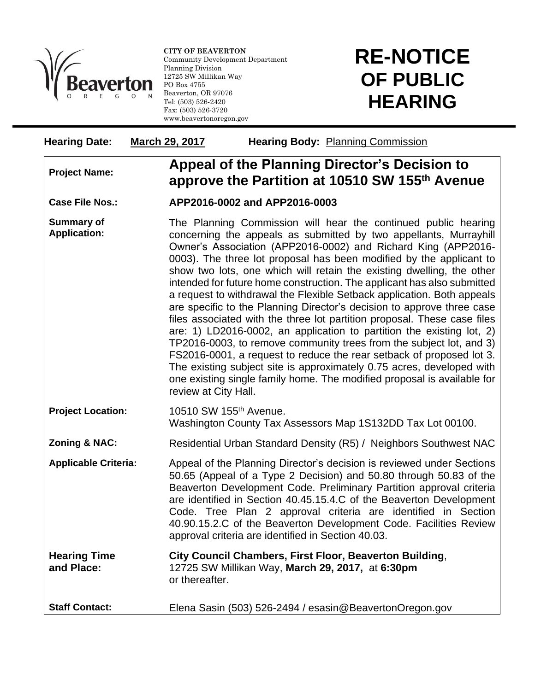

l

**CITY OF BEAVERTON** Community Development Department Planning Division 12725 SW Millikan Way PO Box 4755 Beaverton, OR 97076 Tel: (503) 526-2420 Fax: (503) 526-3720 www.beavertonoregon.gov

## **RE-NOTICE OF PUBLIC HEARING**

| <b>Hearing Date:</b>                     | March 29, 2017                     | Hearing Body: Planning Commission                                                                                                                                                                                                                                                                                                                                                                                                                                                                                                                                                                                                                                                                                                                                                                                                                                                                                                                                                                                                                                   |  |
|------------------------------------------|------------------------------------|---------------------------------------------------------------------------------------------------------------------------------------------------------------------------------------------------------------------------------------------------------------------------------------------------------------------------------------------------------------------------------------------------------------------------------------------------------------------------------------------------------------------------------------------------------------------------------------------------------------------------------------------------------------------------------------------------------------------------------------------------------------------------------------------------------------------------------------------------------------------------------------------------------------------------------------------------------------------------------------------------------------------------------------------------------------------|--|
| <b>Project Name:</b>                     |                                    | Appeal of the Planning Director's Decision to<br>approve the Partition at 10510 SW 155th Avenue                                                                                                                                                                                                                                                                                                                                                                                                                                                                                                                                                                                                                                                                                                                                                                                                                                                                                                                                                                     |  |
| <b>Case File Nos.:</b>                   |                                    | APP2016-0002 and APP2016-0003                                                                                                                                                                                                                                                                                                                                                                                                                                                                                                                                                                                                                                                                                                                                                                                                                                                                                                                                                                                                                                       |  |
| <b>Summary of</b><br><b>Application:</b> |                                    | The Planning Commission will hear the continued public hearing<br>concerning the appeals as submitted by two appellants, Murrayhill<br>Owner's Association (APP2016-0002) and Richard King (APP2016-<br>0003). The three lot proposal has been modified by the applicant to<br>show two lots, one which will retain the existing dwelling, the other<br>intended for future home construction. The applicant has also submitted<br>a request to withdrawal the Flexible Setback application. Both appeals<br>are specific to the Planning Director's decision to approve three case<br>files associated with the three lot partition proposal. These case files<br>are: 1) LD2016-0002, an application to partition the existing lot, 2)<br>TP2016-0003, to remove community trees from the subject lot, and 3)<br>FS2016-0001, a request to reduce the rear setback of proposed lot 3.<br>The existing subject site is approximately 0.75 acres, developed with<br>one existing single family home. The modified proposal is available for<br>review at City Hall. |  |
| <b>Project Location:</b>                 | 10510 SW 155 <sup>th</sup> Avenue. | Washington County Tax Assessors Map 1S132DD Tax Lot 00100.                                                                                                                                                                                                                                                                                                                                                                                                                                                                                                                                                                                                                                                                                                                                                                                                                                                                                                                                                                                                          |  |
| <b>Zoning &amp; NAC:</b>                 |                                    | Residential Urban Standard Density (R5) / Neighbors Southwest NAC                                                                                                                                                                                                                                                                                                                                                                                                                                                                                                                                                                                                                                                                                                                                                                                                                                                                                                                                                                                                   |  |
| <b>Applicable Criteria:</b>              |                                    | Appeal of the Planning Director's decision is reviewed under Sections<br>50.65 (Appeal of a Type 2 Decision) and 50.80 through 50.83 of the<br>Beaverton Development Code. Preliminary Partition approval criteria<br>are identified in Section 40.45.15.4.C of the Beaverton Development<br>Code. Tree Plan 2 approval criteria are identified in Section<br>40.90.15.2.C of the Beaverton Development Code. Facilities Review<br>approval criteria are identified in Section 40.03.                                                                                                                                                                                                                                                                                                                                                                                                                                                                                                                                                                               |  |
| <b>Hearing Time</b><br>and Place:        | or thereafter.                     | City Council Chambers, First Floor, Beaverton Building,<br>12725 SW Millikan Way, March 29, 2017, at 6:30pm                                                                                                                                                                                                                                                                                                                                                                                                                                                                                                                                                                                                                                                                                                                                                                                                                                                                                                                                                         |  |
| <b>Staff Contact:</b>                    |                                    | Elena Sasin (503) 526-2494 / esasin@BeavertonOregon.gov                                                                                                                                                                                                                                                                                                                                                                                                                                                                                                                                                                                                                                                                                                                                                                                                                                                                                                                                                                                                             |  |